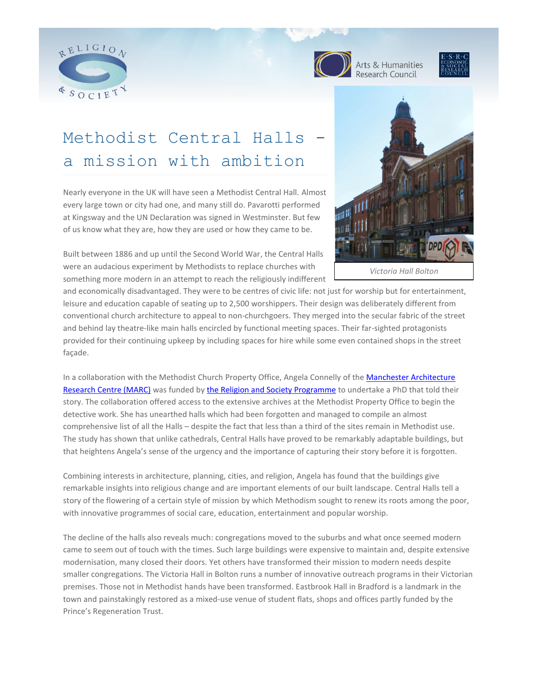



Arts & Humanities Research Council



# Methodist Central Halls a mission with ambition

Nearly everyone in the UK will have seen a Methodist Central Hall. Almost every large town or city had one, and many still do. Pavarotti performed at Kingsway and the UN Declaration was signed in Westminster. But few of us know what they are, how they are used or how they came to be.



Built between 1886 and up until the Second World War, the Central Halls were an audacious experiment by Methodists to replace churches with something more modern in an attempt to reach the religiously indifferent

and economically disadvantaged. They were to be centres of civic life: not just for worship but for entertainment, leisure and education capable of seating up to 2,500 worshippers. Their design was deliberately different from conventional church architecture to appeal to non-churchgoers. They merged into the secular fabric of the street and behind lay theatre-like main halls encircled by functional meeting spaces. Their far-sighted protagonists provided for their continuing upkeep by including spaces for hire while some even contained shops in the street façade.

In a collaboration with the Methodist Church Property Office, Angela Connelly of the Manchester Architecture [Research Centre \(MARC\)](http://www.sed.manchester.ac.uk/research/marc/) was funded by [the Religion and Society Programme](http://www.religionandsociety.org.uk/) to undertake a PhD that told their story. The collaboration offered access to the extensive archives at the Methodist Property Office to begin the detective work. She has unearthed halls which had been forgotten and managed to compile an almost comprehensive list of all the Halls – despite the fact that less than a third of the sites remain in Methodist use. The study has shown that unlike cathedrals, Central Halls have proved to be remarkably adaptable buildings, but that heightens Angela's sense of the urgency and the importance of capturing their story before it is forgotten.

Combining interests in architecture, planning, cities, and religion, Angela has found that the buildings give remarkable insights into religious change and are important elements of our built landscape. Central Halls tell a story of the flowering of a certain style of mission by which Methodism sought to renew its roots among the poor, with innovative programmes of social care, education, entertainment and popular worship.

The decline of the halls also reveals much: congregations moved to the suburbs and what once seemed modern came to seem out of touch with the times. Such large buildings were expensive to maintain and, despite extensive modernisation, many closed their doors. Yet others have transformed their mission to modern needs despite smaller congregations. The Victoria Hall in Bolton runs a number of innovative outreach programs in their Victorian premises. Those not in Methodist hands have been transformed. Eastbrook Hall in Bradford is a landmark in the town and painstakingly restored as a mixed-use venue of student flats, shops and offices partly funded by the Prince's Regeneration Trust.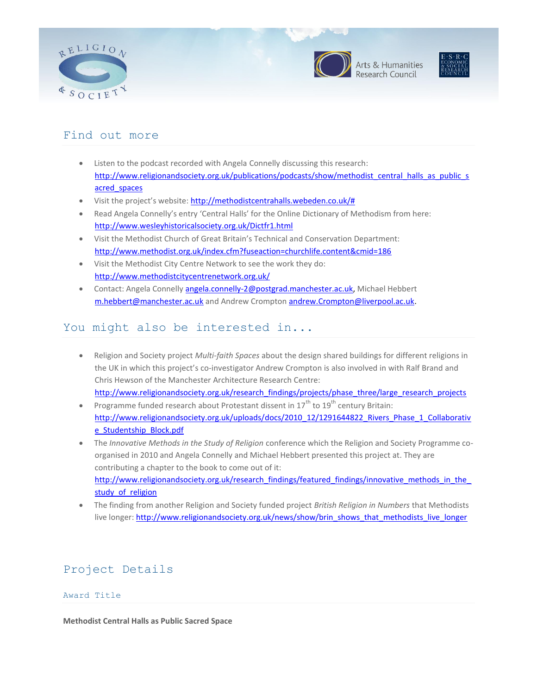





### Find out more

- Listen to the podcast recorded with Angela Connelly discussing this research: [http://www.religionandsociety.org.uk/publications/podcasts/show/methodist\\_central\\_halls\\_as\\_public\\_s](http://www.religionandsociety.org.uk/publications/podcasts/show/methodist_central_halls_as_public_sacred_spaces) [acred\\_spaces](http://www.religionandsociety.org.uk/publications/podcasts/show/methodist_central_halls_as_public_sacred_spaces)
- Visit the project's website: [http://methodistcentrahalls.webeden.co.uk/#](http://methodistcentrahalls.webeden.co.uk/)
- Read Angela Connelly's entry 'Central Halls' for the Online Dictionary of Methodism from here: <http://www.wesleyhistoricalsociety.org.uk/Dictfr1.html>
- Visit the Methodist Church of Great Britain's Technical and Conservation Department: <http://www.methodist.org.uk/index.cfm?fuseaction=churchlife.content&cmid=186>
- Visit the Methodist City Centre Network to see the work they do: <http://www.methodistcitycentrenetwork.org.uk/>
- Contact: Angela Connelly [angela.connelly-2@postgrad.manchester.ac.uk,](mailto:angela.connelly-2@postgrad.manchester.ac.uk) Michael Hebbert [m.hebbert@manchester.ac.uk](mailto:m.hebbert@manchester.ac.uk) and Andrew Crompton [andrew.Crompton@liverpool.ac.uk.](mailto:andrew.Crompton@liverpool.ac.uk)

## You might also be interested in...

- Religion and Society project *Multi-faith Spaces* about the design shared buildings for different religions in the UK in which this project's co-investigator Andrew Crompton is also involved in with Ralf Brand and Chris Hewson of the Manchester Architecture Research Centre: [http://www.religionandsociety.org.uk/research\\_findings/projects/phase\\_three/large\\_research\\_projects](http://www.religionandsociety.org.uk/research_findings/projects/phase_three/large_research_projects)
- **•** Programme funded research about Protestant dissent in  $17^{th}$  to  $19^{th}$  century Britain: [http://www.religionandsociety.org.uk/uploads/docs/2010\\_12/1291644822\\_Rivers\\_Phase\\_1\\_Collaborativ](http://www.religionandsociety.org.uk/uploads/docs/2010_12/1291644822_Rivers_Phase_1_Collaborative_Studentship_Block.pdf) [e\\_Studentship\\_Block.pdf](http://www.religionandsociety.org.uk/uploads/docs/2010_12/1291644822_Rivers_Phase_1_Collaborative_Studentship_Block.pdf)
- The *Innovative Methods in the Study of Religion* conference which the Religion and Society Programme coorganised in 2010 and Angela Connelly and Michael Hebbert presented this project at. They are contributing a chapter to the book to come out of it: http://www.religionandsociety.org.uk/research\_findings/featured\_findings/innovative\_methods\_in\_the study of religion
- The finding from another Religion and Society funded project *British Religion in Numbers* that Methodists live longer: [http://www.religionandsociety.org.uk/news/show/brin\\_shows\\_that\\_methodists\\_live\\_longer](http://www.religionandsociety.org.uk/news/show/brin_shows_that_methodists_live_longer)

# Project Details

#### Award Title

**Methodist Central Halls as Public Sacred Space**